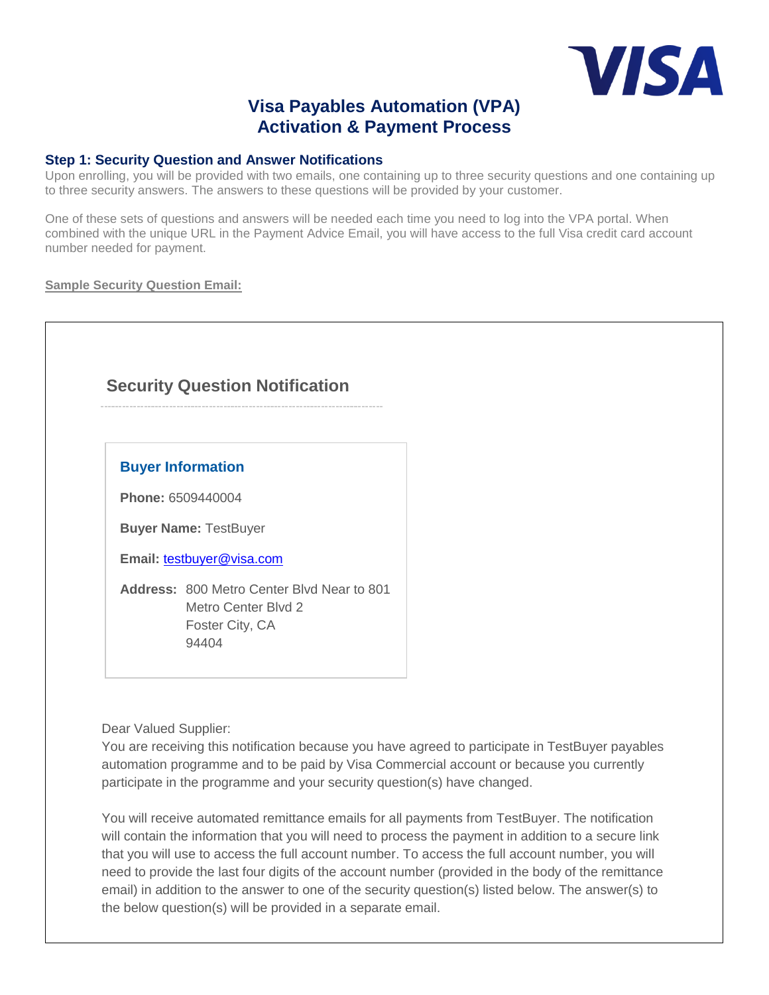

# **Visa Payables Automation (VPA) Activation & Payment Process**

### **Step 1: Security Question and Answer Notifications**

Upon enrolling, you will be provided with two emails, one containing up to three security questions and one containing up to three security answers. The answers to these questions will be provided by your customer.

One of these sets of questions and answers will be needed each time you need to log into the VPA portal. When combined with the unique URL in the Payment Advice Email, you will have access to the full Visa credit card account number needed for payment.

### **Sample Security Question Email:**

# **Security Question Notification**

## **Buyer Information**

**Phone:** 6509440004

**Buyer Name:** TestBuyer

**Email:** [testbuyer@visa.com](mailto:testbuyer@visa.com)

**Address:** 800 Metro Center Blvd Near to 801 Metro Center Blvd 2 Foster City, CA 94404

Dear Valued Supplier:

You are receiving this notification because you have agreed to participate in TestBuyer payables automation programme and to be paid by Visa Commercial account or because you currently participate in the programme and your security question(s) have changed.

You will receive automated remittance emails for all payments from TestBuyer. The notification will contain the information that you will need to process the payment in addition to a secure link that you will use to access the full account number. To access the full account number, you will need to provide the last four digits of the account number (provided in the body of the remittance email) in addition to the answer to one of the security question(s) listed below. The answer(s) to the below question(s) will be provided in a separate email.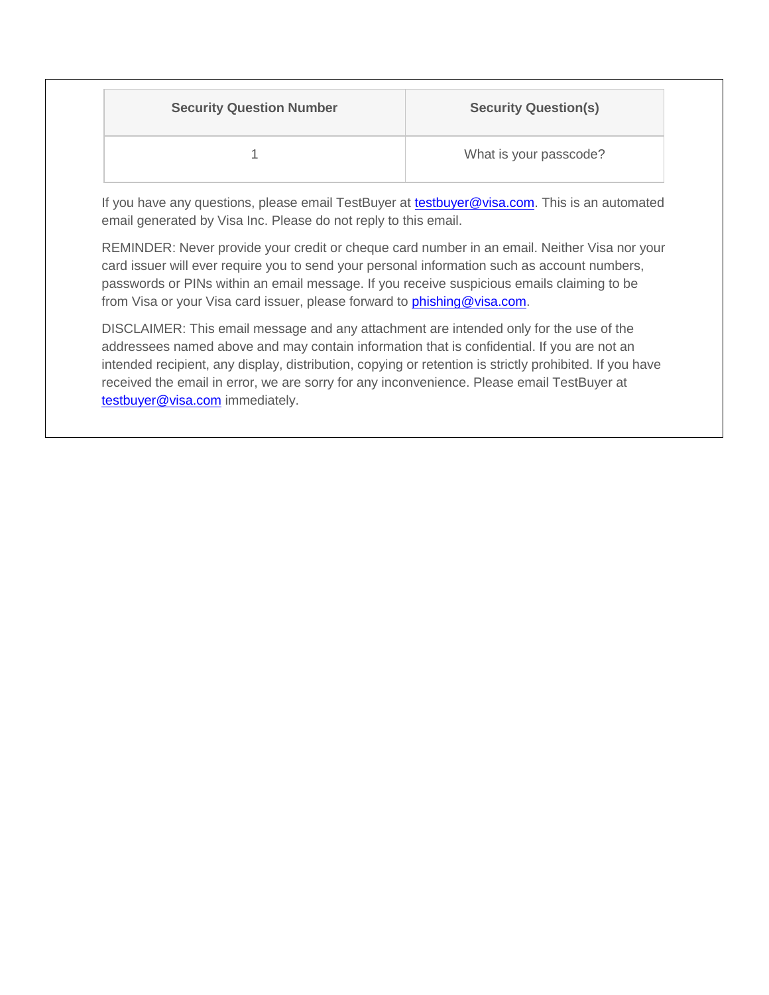| <b>Security Question Number</b> | <b>Security Question(s)</b> |
|---------------------------------|-----------------------------|
|                                 | What is your passcode?      |

If you have any questions, please email TestBuyer at **testbuyer@visa.com**. This is an automated email generated by Visa Inc. Please do not reply to this email.

REMINDER: Never provide your credit or cheque card number in an email. Neither Visa nor your card issuer will ever require you to send your personal information such as account numbers, passwords or PINs within an email message. If you receive suspicious emails claiming to be from Visa or your Visa card issuer, please forward to *phishing@visa.com.* 

DISCLAIMER: This email message and any attachment are intended only for the use of the addressees named above and may contain information that is confidential. If you are not an intended recipient, any display, distribution, copying or retention is strictly prohibited. If you have received the email in error, we are sorry for any inconvenience. Please email TestBuyer at [testbuyer@visa.com](mailto:testbuyer@visa.com) immediately.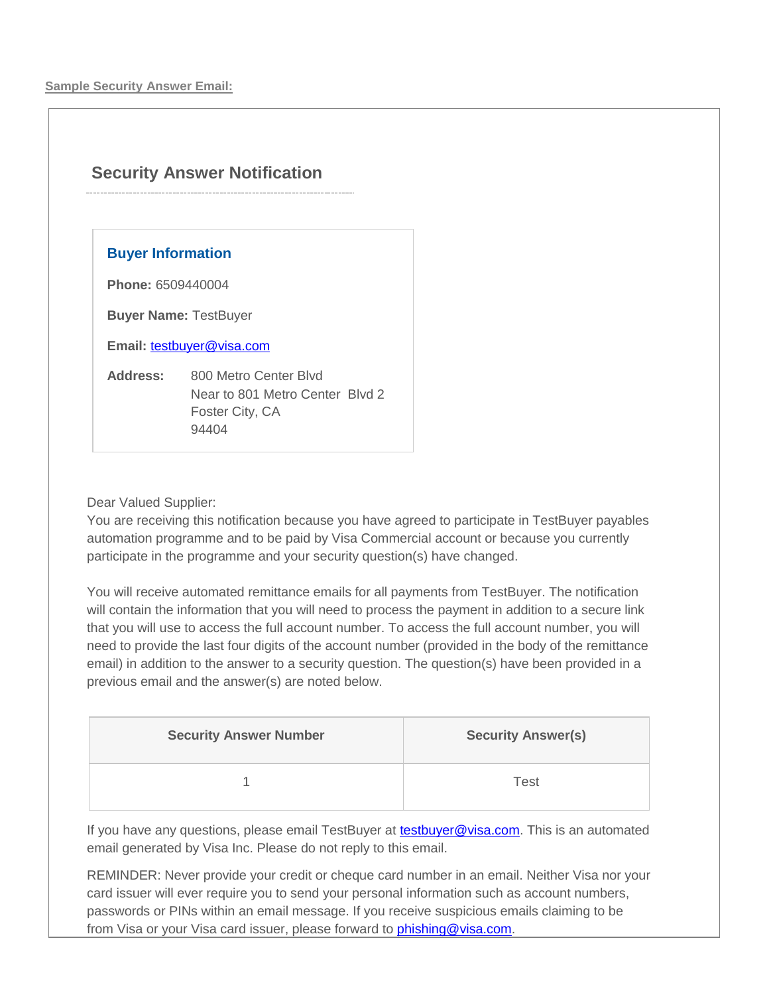# **Security Answer Notification**

## **Buyer Information**

**Phone:** 6509440004

**Buyer Name:** TestBuyer

Email: [testbuyer@visa.com](mailto:testbuyer@visa.com)

**Address:** 800 Metro Center Blvd Near to 801 Metro Center Blvd 2 Foster City, CA 94404

Dear Valued Supplier:

You are receiving this notification because you have agreed to participate in TestBuyer payables automation programme and to be paid by Visa Commercial account or because you currently participate in the programme and your security question(s) have changed.

You will receive automated remittance emails for all payments from TestBuyer. The notification will contain the information that you will need to process the payment in addition to a secure link that you will use to access the full account number. To access the full account number, you will need to provide the last four digits of the account number (provided in the body of the remittance email) in addition to the answer to a security question. The question(s) have been provided in a previous email and the answer(s) are noted below.

| <b>Security Answer Number</b> | <b>Security Answer(s)</b> |
|-------------------------------|---------------------------|
|                               | Test                      |

If you have any questions, please email TestBuyer at [testbuyer@visa.com.](mailto:testbuyer@visa.com) This is an automated email generated by Visa Inc. Please do not reply to this email.

REMINDER: Never provide your credit or cheque card number in an email. Neither Visa nor your card issuer will ever require you to send your personal information such as account numbers, passwords or PINs within an email message. If you receive suspicious emails claiming to be from Visa or your Visa card issuer, please forward to *phishing@visa.com.*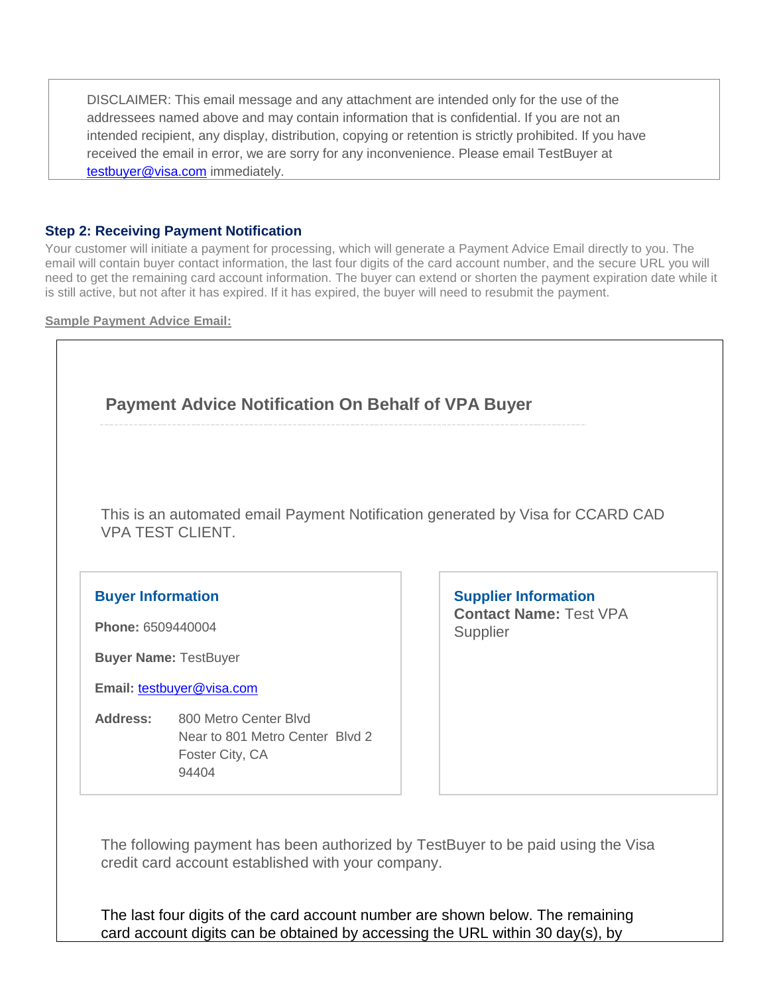DISCLAIMER: This email message and any attachment are intended only for the use of the addressees named above and may contain information that is confidential. If you are not an intended recipient, any display, distribution, copying or retention is strictly prohibited. If you have received the email in error, we are sorry for any inconvenience. Please email TestBuyer at [testbuyer@visa.com](mailto:testbuyer@visa.com) immediately.

## **Step 2: Receiving Payment Notification**

Your customer will initiate a payment for processing, which will generate a Payment Advice Email directly to you. The email will contain buyer contact information, the last four digits of the card account number, and the secure URL you will need to get the remaining card account information. The buyer can extend or shorten the payment expiration date while it is still active, but not after it has expired. If it has expired, the buyer will need to resubmit the payment.

**Sample Payment Advice Email:**



The following payment has been authorized by TestBuyer to be paid using the Visa credit card account established with your company.

The last four digits of the card account number are shown below. The remaining card account digits can be obtained by accessing the URL within 30 day(s), by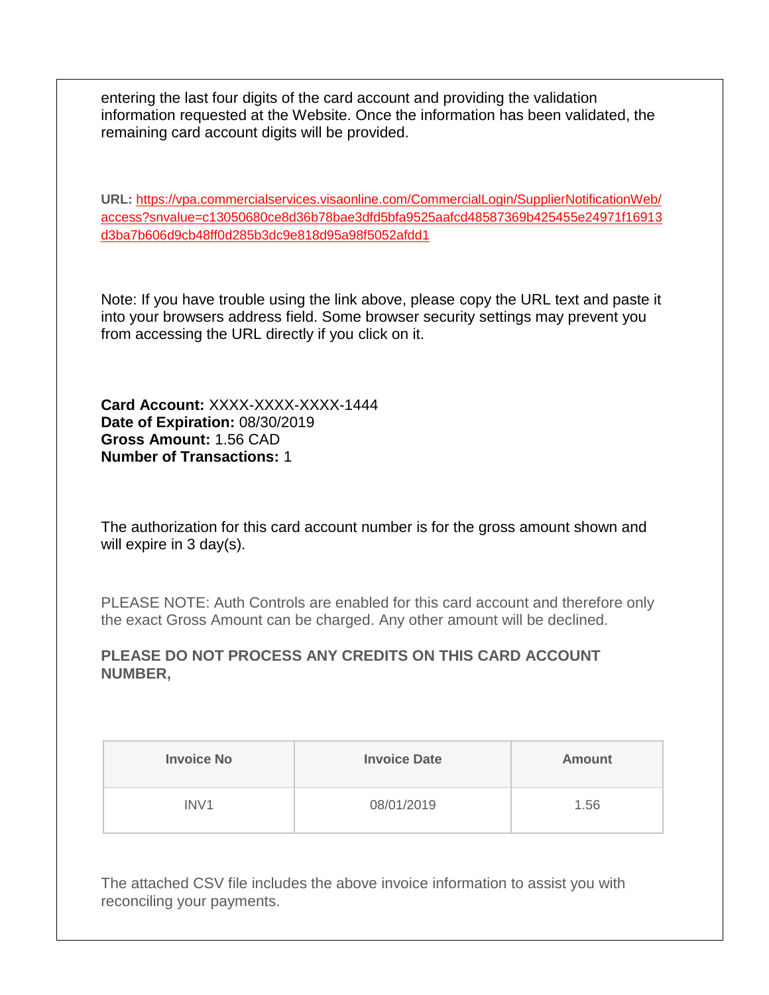entering the last four digits of the card account and providing the validation information requested at the Website. Once the information has been validated, the remaining card account digits will be provided.

**URL:** [https://vpa.commercialservices.visaonline.com/CommercialLogin/SupplierNotificationWeb/](https://vpa.commercialservices.visaonline.com/CommercialLogin/SupplierNotificationWeb/access?snvalue=c13050680ce8d36b78bae3dfd5bfa9525aafcd48587369b425455e24971f16913d3ba7b606d9cb48ff0d285b3dc9e818d95a98f5052afdd1) [access?snvalue=c13050680ce8d36b78bae3dfd5bfa9525aafcd48587369b425455e24971f16913](https://vpa.commercialservices.visaonline.com/CommercialLogin/SupplierNotificationWeb/access?snvalue=c13050680ce8d36b78bae3dfd5bfa9525aafcd48587369b425455e24971f16913d3ba7b606d9cb48ff0d285b3dc9e818d95a98f5052afdd1) [d3ba7b606d9cb48ff0d285b3dc9e818d95a98f5052afdd1](https://vpa.commercialservices.visaonline.com/CommercialLogin/SupplierNotificationWeb/access?snvalue=c13050680ce8d36b78bae3dfd5bfa9525aafcd48587369b425455e24971f16913d3ba7b606d9cb48ff0d285b3dc9e818d95a98f5052afdd1)

Note: If you have trouble using the link above, please copy the URL text and paste it into your browsers address field. Some browser security settings may prevent you from accessing the URL directly if you click on it.

**Card Account:** XXXX-XXXX-XXXX-1444 **Date of Expiration:** 08/30/2019 **Gross Amount:** 1.56 CAD **Number of Transactions:** 1

The authorization for this card account number is for the gross amount shown and will expire in 3 day(s).

PLEASE NOTE: Auth Controls are enabled for this card account and therefore only the exact Gross Amount can be charged. Any other amount will be declined.

## **PLEASE DO NOT PROCESS ANY CREDITS ON THIS CARD ACCOUNT NUMBER,**

| <b>Invoice No</b> | <b>Invoice Date</b> | <b>Amount</b> |
|-------------------|---------------------|---------------|
| INV <sub>1</sub>  | 08/01/2019          | 1.56          |

The attached CSV file includes the above invoice information to assist you with reconciling your payments.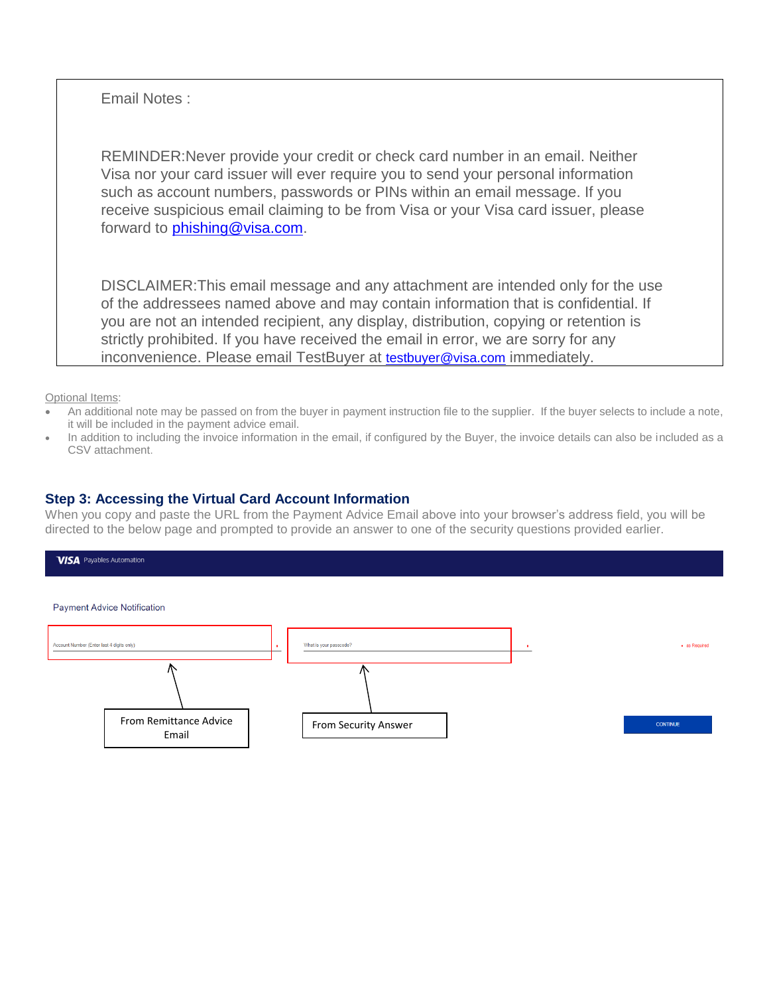Email Notes :

REMINDER:Never provide your credit or check card number in an email. Neither Visa nor your card issuer will ever require you to send your personal information such as account numbers, passwords or PINs within an email message. If you receive suspicious email claiming to be from Visa or your Visa card issuer, please forward to [phishing@visa.com.](mailto:phishing@visa.com)

DISCLAIMER:This email message and any attachment are intended only for the use of the addressees named above and may contain information that is confidential. If you are not an intended recipient, any display, distribution, copying or retention is strictly prohibited. If you have received the email in error, we are sorry for any inconvenience. Please email TestBuyer at [testbuyer@visa.com](mailto:testbuyer@visa.com) immediately.

Optional Items:

- An additional note may be passed on from the buyer in payment instruction file to the supplier. If the buyer selects to include a note, it will be included in the payment advice email.
- In addition to including the invoice information in the email, if configured by the Buyer, the invoice details can also be included as a CSV attachment.

### **Step 3: Accessing the Virtual Card Account Information**

When you copy and paste the URL from the Payment Advice Email above into your browser's address field, you will be directed to the below page and prompted to provide an answer to one of the security questions provided earlier.

#### **VISA** Payables Automation

#### **Payment Advice Notification**

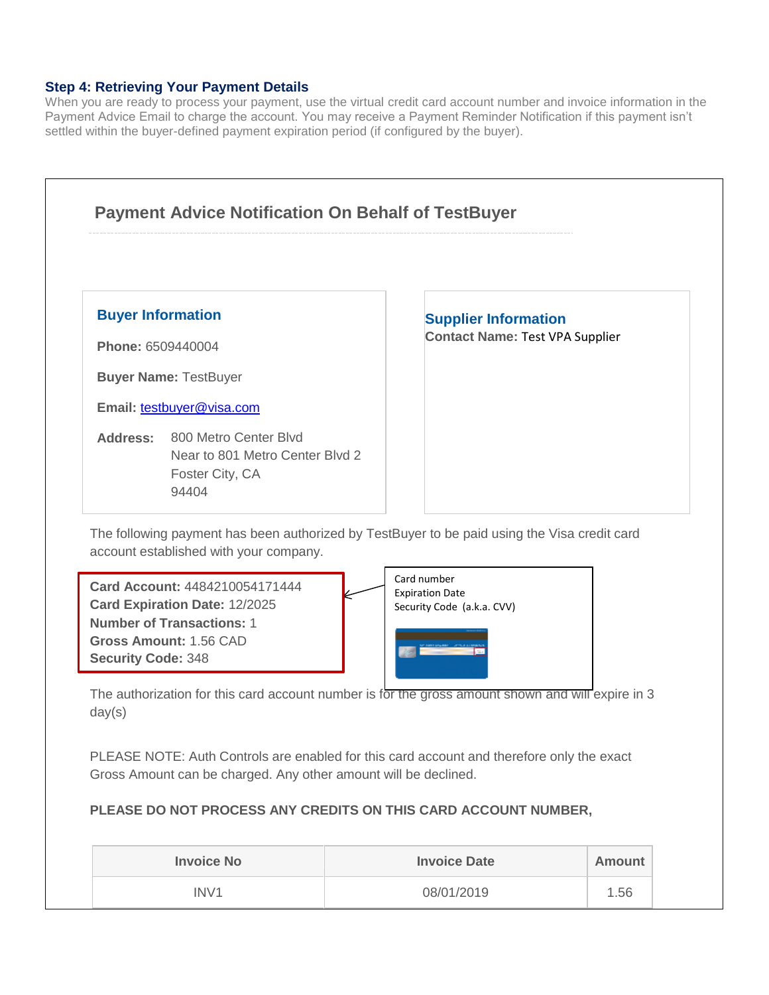## **Step 4: Retrieving Your Payment Details**

When you are ready to process your payment, use the virtual credit card account number and invoice information in the Payment Advice Email to charge the account. You may receive a Payment Reminder Notification if this payment isn't settled within the buyer-defined payment expiration period (if configured by the buyer).



## **PLEASE DO NOT PROCESS ANY CREDITS ON THIS CARD ACCOUNT NUMBER,**

| <b>Invoice No</b> | <b>Invoice Date</b> | Amount |
|-------------------|---------------------|--------|
| IN <sub>V</sub> 1 | 08/01/2019          | .56    |